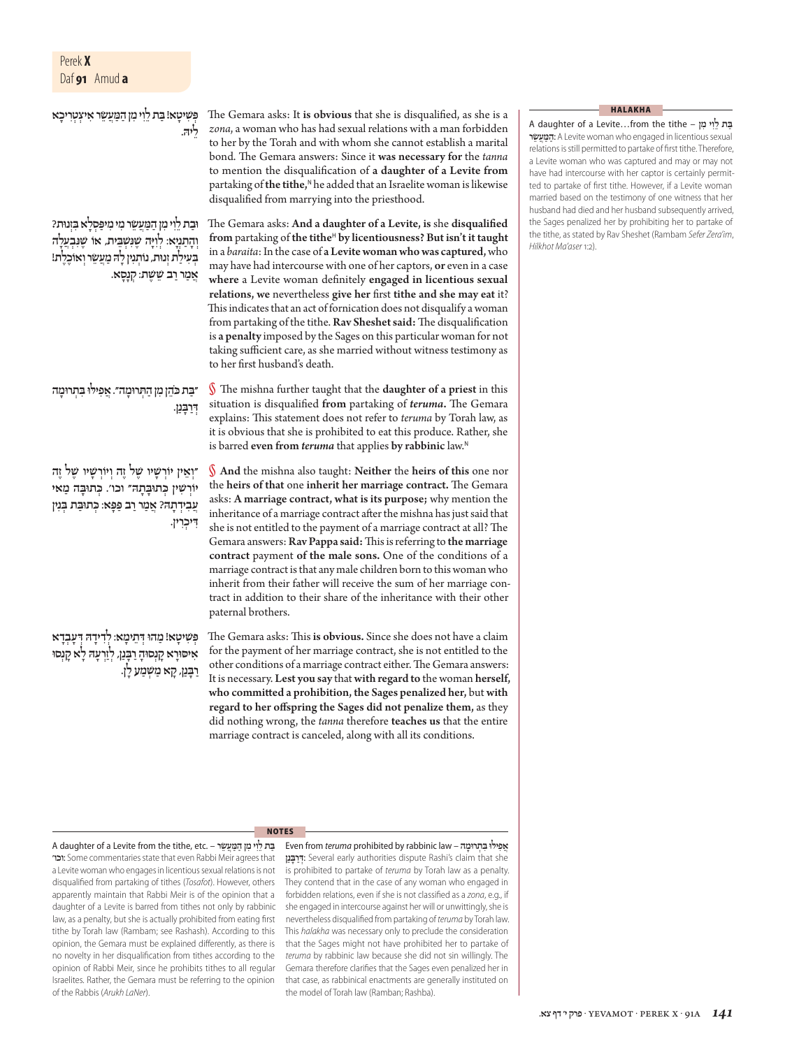| Perek X<br>Daf 91 Amud a                                                                                                                                                                                  |                                                                                                                                                                                                                                                                                                                                                                                                                                                                                                                                                                                                                                                                                                                                                                      |                                                                                                                                                                                                                                                                                                                                                                                                                                                                                                             |
|-----------------------------------------------------------------------------------------------------------------------------------------------------------------------------------------------------------|----------------------------------------------------------------------------------------------------------------------------------------------------------------------------------------------------------------------------------------------------------------------------------------------------------------------------------------------------------------------------------------------------------------------------------------------------------------------------------------------------------------------------------------------------------------------------------------------------------------------------------------------------------------------------------------------------------------------------------------------------------------------|-------------------------------------------------------------------------------------------------------------------------------------------------------------------------------------------------------------------------------------------------------------------------------------------------------------------------------------------------------------------------------------------------------------------------------------------------------------------------------------------------------------|
| פְּשִׁיטָא! בַּת לֵוִי מִן הַמַּעֲשֶׂר אִיצִטְרִיכָא<br>ליה.                                                                                                                                              | The Gemara asks: It is obvious that she is disqualified, as she is a<br>zona, a woman who has had sexual relations with a man forbidden<br>to her by the Torah and with whom she cannot establish a marital<br>bond. The Gemara answers: Since it was necessary for the tanna<br>to mention the disqualification of a daughter of a Levite from<br>partaking of the tithe, <sup>N</sup> he added that an Israelite woman is likewise<br>disqualified from marrying into the priesthood.                                                                                                                                                                                                                                                                              | <b>HALAKHA</b><br>בַּת לֵוִי מֵן – A daughter of a Levitefrom the tithe<br>המעשר: A Levite woman who engaged in licentious sexual<br>relations is still permitted to partake of first tithe. Therefore,<br>a Levite woman who was captured and may or may not<br>have had intercourse with her captor is certainly permit-<br>ted to partake of first tithe. However, if a Levite woman<br>married based on the testimony of one witness that her<br>husband had died and her husband subsequently arrived, |
| וּבַת לֵוִי מִן הַמַּעֲשֵׂר מִי מִיפַּסְלָא בִּזְנוּת?<br>וְהָתַנְיָא: לְוִיָּה שֶׁנִּשְׁבֵּית, אוֹ שֶׁנִּבְעֲלָה<br>בְּעִילַת זְנוּת, נוֹתְנִין לָהּ מַעֲשֵׂר וְאוֹכֶלֶת!<br>אֲמֵר רַב שֱשֶׁת: קִנַּסָא. | The Gemara asks: And a daughter of a Levite, is she disqualified<br>from partaking of the tithe <sup>H</sup> by licentiousness? But isn't it taught<br>in a baraita: In the case of a Levite woman who was captured, who<br>may have had intercourse with one of her captors, or even in a case<br>where a Levite woman definitely engaged in licentious sexual<br>relations, we nevertheless give her first tithe and she may eat it?<br>This indicates that an act of fornication does not disqualify a woman<br>from partaking of the tithe. Rav Sheshet said: The disqualification<br>is a penalty imposed by the Sages on this particular woman for not<br>taking sufficient care, as she married without witness testimony as<br>to her first husband's death. | the Sages penalized her by prohibiting her to partake of<br>the tithe, as stated by Rav Sheshet (Rambam Sefer Zera'im,<br>Hilkhot Ma'aser 1:2).                                                                                                                                                                                                                                                                                                                                                             |
| ״בַת כֹּהֵן מִן הַתְּרוּמָה״. אֲפִילוּ בִּתְרוּמַה<br>דְרַבְּנַן.                                                                                                                                         | The mishna further taught that the daughter of a priest in this<br>situation is disqualified from partaking of teruma. The Gemara<br>explains: This statement does not refer to teruma by Torah law, as<br>it is obvious that she is prohibited to eat this produce. Rather, she<br>is barred even from teruma that applies by rabbinic law. <sup>N</sup>                                                                                                                                                                                                                                                                                                                                                                                                            |                                                                                                                                                                                                                                                                                                                                                                                                                                                                                                             |
| יִוְאֵין יוֹרְשָׁיו שֶׁל זֶה וְיוֹרְשָׁיו שֶׁל זֶה<br>יוֹרְשִׁין כְּתוּבָּתָה" וכו׳. כְּתוּבָה מַאי<br>עֲבִידְתָה? אֲמַר רַב פַּפָּא: כְּתוּבַת בִּנִין<br>דִּיכְרִין.                                    | S And the mishna also taught: Neither the heirs of this one nor<br>the heirs of that one inherit her marriage contract. The Gemara<br>asks: A marriage contract, what is its purpose; why mention the<br>inheritance of a marriage contract after the mishna has just said that<br>she is not entitled to the payment of a marriage contract at all? The<br>Gemara answers: Rav Pappa said: This is referring to the marriage<br>contract payment of the male sons. One of the conditions of a<br>marriage contract is that any male children born to this woman who<br>inherit from their father will receive the sum of her marriage con-<br>tract in addition to their share of the inheritance with their other<br>paternal brothers.                            |                                                                                                                                                                                                                                                                                                                                                                                                                                                                                                             |
| פְּשִׁיטָא! מַהוּ דְּתֵיכָא: לְדִידָהּ דְעָבְדָא<br>אִיפוּרָא קָנְסוּהָ רַבְּנֵן, לְוֹרָעָהּ לָא קָנְסוּ<br>וַבְּנַן, קָא מַשְׁמַע לְן.                                                                   | The Gemara asks: This is obvious. Since she does not have a claim<br>for the payment of her marriage contract, she is not entitled to the<br>other conditions of a marriage contract either. The Gemara answers:<br>It is necessary. Lest you say that with regard to the woman herself,<br>who committed a prohibition, the Sages penalized her, but with<br>regard to her offspring the Sages did not penalize them, as they<br>did nothing wrong, the tanna therefore teaches us that the entire<br>marriage contract is canceled, along with all its conditions.                                                                                                                                                                                                 |                                                                                                                                                                                                                                                                                                                                                                                                                                                                                                             |

# **NOTES**

 A daughter of a Levite from the tithe, etc. – **שרֵׂעֲמַּ הַ מןִ ויִלֵ בתַּ וכו׳**: Some commentaries state that even Rabbi Meir agrees that a Levite woman who engages in licentious sexual relations is not disqualified from partaking of tithes (*Tosafot*). However, others apparently maintain that Rabbi Meir is of the opinion that a daughter of a Levite is barred from tithes not only by rabbinic law, as a penalty, but she is actually prohibited from eating first tithe by Torah law (Rambam; see Rashash). According to this opinion, the Gemara must be explained differently, as there is no novelty in her disqualification from tithes according to the opinion of Rabbi Meir, since he prohibits tithes to all regular Israelites. Rather, the Gemara must be referring to the opinion of the Rabbis (*Arukh LaNer*).

**ֲא ִפ ּילּו ִּב ְת ּרוָמה** – law rabbinic by prohibited *teruma* from Even **נןַבָּרַדּ ְ**: Several early authorities dispute Rashi's claim that she is prohibited to partake of *teruma* by Torah law as a penalty. They contend that in the case of any woman who engaged in forbidden relations, even if she is not classified as a *zona*, e.g., if she engaged in intercourse against her will or unwittingly, she is nevertheless disqualified from partaking of *teruma* by Torah law. This *halakha* was necessary only to preclude the consideration that the Sages might not have prohibited her to partake of *teruma* by rabbinic law because she did not sin willingly. The Gemara therefore clarifies that the Sages even penalized her in that case, as rabbinical enactments are generally instituted on the model of Torah law (Ramban; Rashba).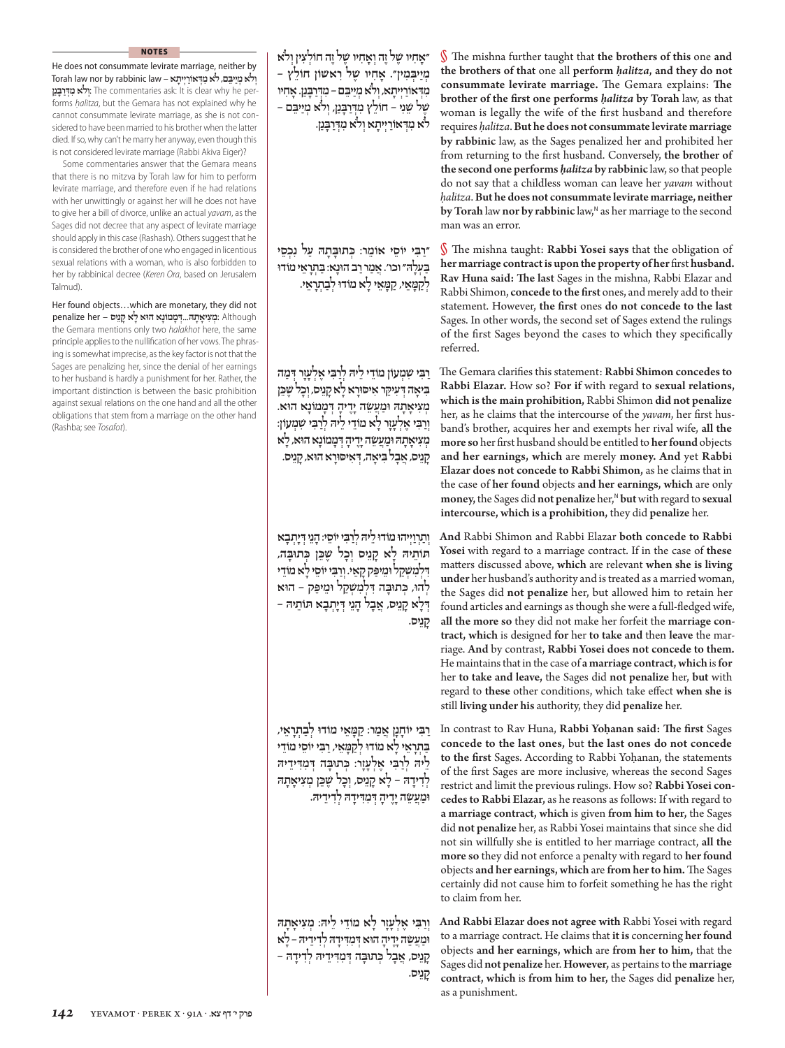### **NOTES**

 He does not consummate levirate marriage, neither by **ְולֹא ְמַי ֵּיבם, לֹא ִמְ ּד ַאוֹרְי ָיתא** – law rabbinic by nor law Torah **נולֹא מדרבּנן:** The commentaries ask: It is clear why he performs *ĥalitza*, but the Gemara has not explained why he cannot consummate levirate marriage, as she is not considered to have been married to his brother when the latter died. If so, why can't he marry her anyway, even though this is not considered levirate marriage (Rabbi Akiva Eiger)?

Some commentaries answer that the Gemara means that there is no mitzva by Torah law for him to perform levirate marriage, and therefore even if he had relations with her unwittingly or against her will he does not have to give her a bill of divorce, unlike an actual *yavam*, as the Sages did not decree that any aspect of levirate marriage should apply in this case (Rashash). Others suggest that he is considered the brother of one who engaged in licentious sexual relations with a woman, who is also forbidden to her by rabbinical decree (*Keren Ora*, based on Jerusalem Talmud).

 Her found objects…which are monetary, they did not Although : **ְמ ִצ ָיאָת ּה...ְ ּדָמ ָמוֹנא ּהוא ָלא ָקֵניס** – her penalize the Gemara mentions only two *halakhot* here, the same principle applies to the nullification of her vows. The phrasing is somewhat imprecise, as the key factor is not that the Sages are penalizing her, since the denial of her earnings to her husband is hardly a punishment for her. Rather, the important distinction is between the basic prohibition against sexual relations on the one hand and all the other obligations that stem from a marriage on the other hand (Rashba; see *Tosafot*).

**ָ״א ִחיו ֶׁשלֶזה ְוָא ִחיו ֶׁשלֶזה ְחוֹל ִצין ְולֹא ְמַי ְּיב ִמין״. ָא ִחיו ֶׁשל ִר ׁאשוֹן ֵחוֹלץ – ִמְ ּד ַאוֹרְי ָיתא, ְולֹא ְמַי ֵּיבם – ִמְ ּדַרָּבַנן. ָא ִחיו ֶׁשל ֵׁשִני – ֵחוֹלץ ִמְ ּדַרָּבַנן, ְולֹא ְמַי ֵּיבם – לֹא ִמְ ּד ַאוֹרְי ָיתא ְולֹא ִמְ ּדַרָּבַנן.**

**ּכ ּתוָּבָת ּה ַעל ִנְכֵסי ַ״רִּבי ֵ יוֹסי ֵאוֹמר: ְ ַּב ְעָל ּה״וכו׳. ֲאַמרַרב ּהוָנא: ַּב ְתָרֵאי ּ מוֹדו ְלַק ָּמֵאי, ַק ָּמֵאי ָלא ּ מוֹדו ְלַב ְתָרֵאי.**

**ַרִּבי ׁ ִשְמעוֹן ֵמוֹדי ֵל ּיה ְלַרִּבי ֶאְלָעָזר ְ ּדַמה ּכן ִּב ָיאה ְ ּד ִע ַּיקר ִא ּיסּוָראָלאָקֵניס, ְוָכל ֶׁשֵ ְמ ִצ ָיאָת ּה ּוַמֲע ֵׂשה ָיֶד ָיה ְ ּדָמ ָמוֹנא ּהוא. ְוַרִּבי ֶאְלָעָזר ָלא ֵמוֹדי ֵל ּיה ְלַרִּבי ׁ ִשְמעוֹן: ְמ ִצ ָיאָת ּה ּוַמֲעֵׂשהָיֶד ָיה ְ ּדָמ ָמוֹנא ּהוא, ָלא ָקֵניס, ֲאָבל ִּב ָיאה, ְ ּד ִא ּיסּוָרא ּהוא, ָקֵניס.**

**ְוַתְרַוְי ּ יהו ּ מוֹדו ֵל ּיה ְלַרִּבי ֵ יוֹסי: ָהֵני ְ ּדָי ְתָבא ּכ ּתוָּבה, ּכן ְ ּת ֵוֹת ּיה ָלא ָקֵניס ְוָכל ֶׁשֵ ִ ּד ְל ִמׁ ְשַקל ּוֵמ ַּיפקָקֵאי. ְוַרִּבי ֵ יוֹסי ָלא ֵמוֹדי ּכ ּתוָּבה ִ ּד ְל ִמׁ ְשַקל ּוֵמ ַּיפק – ּהוא ְל ּהו, ְ ְ ּדָלא ָקֵניס, ֲאָבל ָהֵני ְ ּדָי ְתָבא ּת ֵוֹת ּיה – ָקֵניס.**

**ַרִּבי ָ יוֹחָנן ֲאַמר: ַק ָּמֵאי ּ מוֹדו ְלַב ְתָרֵאי, ַּב ְתָרֵאי ָלא ּ מוֹדו ְלַק ָּמֵאי, ַרִּבי ֵ יוֹסי ֵמוֹדי ּכ ּתוָּבה ְ ּד ִמִ ּד ֵיד ּיה ֵל ּיה ְלַרִּבי ֶא ְלָעָזר: ְ ּכן ְמ ִצ ָיאָת ּה ְלִד ָיד ּה – ָלא ָקֵניס, ְוָכל ֶׁשֵ ּוַמֲע ֵׂשהָיֶד ָיה ְ ּד ִמִ ּד ָיד ּה ְלִד ֵיד ּיה.** 

**ְוַרִּבי ֶאְלָעָזר ָלא ֵמוֹדי ֵל ּיה: ְמ ִצ ָיאָת ּה ּוַמֲעֵׂשהָיֶד ָיה ּהוא ְ ּד ִמִ ּד ָיד ּה ְלִד ֵיד ּיה – ָלא ּכ ּתוָּבה ְ ּד ִמִ ּד ֵיד ּיה ְלִד ָיד ּה – ָקֵניס, ֲאָבל ְ ָקֵניס.** § The mishna further taught that the brothers of this one and **the brothers of that** one all **perform** *ĥalitza***, and they do not**  consummate levirate marriage. The Gemara explains: The **brother of the fi rst one performs** *ĥalitza* **by Torah** law, as that woman is legally the wife of the first husband and therefore requires *ĥalitza*. **But he does not consummate levirate marriage by rabbinic** law, as the Sages penalized her and prohibited her from returning to the first husband. Conversely, the brother of **the second one performs** *ĥalitza* **by rabbinic** law, so that people do not say that a childless woman can leave her *yavam* without *ĥalitza*. **But he does not consummate levirate marriage, neither**  by Torah law nor by rabbinic law,<sup>N</sup> as her marriage to the second man was an error.

**§** The mishna taught: **Rabbi Yosei says** that the obligation of her marriage contract is upon the property of her first husband. **Rav Huna said: Th e last** Sages in the mishna, Rabbi Elazar and Rabbi Shimon, **concede to the fi rst** ones, and merely add to their statement. However, **the fi rst** ones **do not concede to the last**  Sages. In other words, the second set of Sages extend the rulings of the first Sages beyond the cases to which they specifically referred.

The Gemara clarifies this statement: **Rabbi Shimon concedes to Rabbi Elazar.** How so? **For if** with regard to **sexual relations, which is the main prohibition,** Rabbi Shimon **did not penalize**  her, as he claims that the intercourse of the *yavam*, her first husband's brother, acquires her and exempts her rival wife, **all the**  more so her first husband should be entitled to her found objects **and her earnings, which** are merely **money. And** yet **Rabbi Elazar does not concede to Rabbi Shimon,** as he claims that in the case of **her found** objects **and her earnings, which** are only **money, the Sages did not penalize her,<sup>N</sup>** but with regard to sexual **intercourse, which is a prohibition,** they did **penalize** her.

**And** Rabbi Shimon and Rabbi Elazar **both concede to Rabbi Yosei** with regard to a marriage contract. If in the case of **these**  matters discussed above, which are relevant when she is living **under** her husband's authority and is treated as a married woman, the Sages did **not penalize** her, but allowed him to retain her found articles and earnings as though she were a full-fledged wife, **all the more so** they did not make her forfeit the **marriage contract, which** is designed **for** her **to take and** then **leave** the marriage. **And** by contrast, **Rabbi Yosei does not concede to them.**  He maintains that in the case of **a marriage contract, which** is **for**  her **to take and leave,** the Sages did **not penalize** her, **but** with regard to these other conditions, which take effect when she is still **living under his** authority, they did **penalize** her.

In contrast to Rav Huna, **Rabbi Yoĥanan said: Th e fi rst** Sages **concede to the last ones,** but **the last ones do not concede to the fi rst** Sages. According to Rabbi Yoĥanan, the statements of the first Sages are more inclusive, whereas the second Sages restrict and limit the previous rulings. How so? **Rabbi Yosei concedes to Rabbi Elazar,** as he reasons as follows: If with regard to **a marriage contract, which** is given **from him to her,** the Sages did **not penalize** her, as Rabbi Yosei maintains that since she did not sin willfully she is entitled to her marriage contract, **all the more so** they did not enforce a penalty with regard to **her found**  objects and her earnings, which are from her to him. The Sages certainly did not cause him to forfeit something he has the right to claim from her.

**And Rabbi Elazar does not agree with** Rabbi Yosei with regard to a marriage contract. He claims that **it is** concerning **her found**  objects **and her earnings, which** are **from her to him,** that the Sages did **not penalize** her. **However,** as pertains to the **marriage contract, which** is **from him to her,** the Sages did **penalize** her, as a punishment.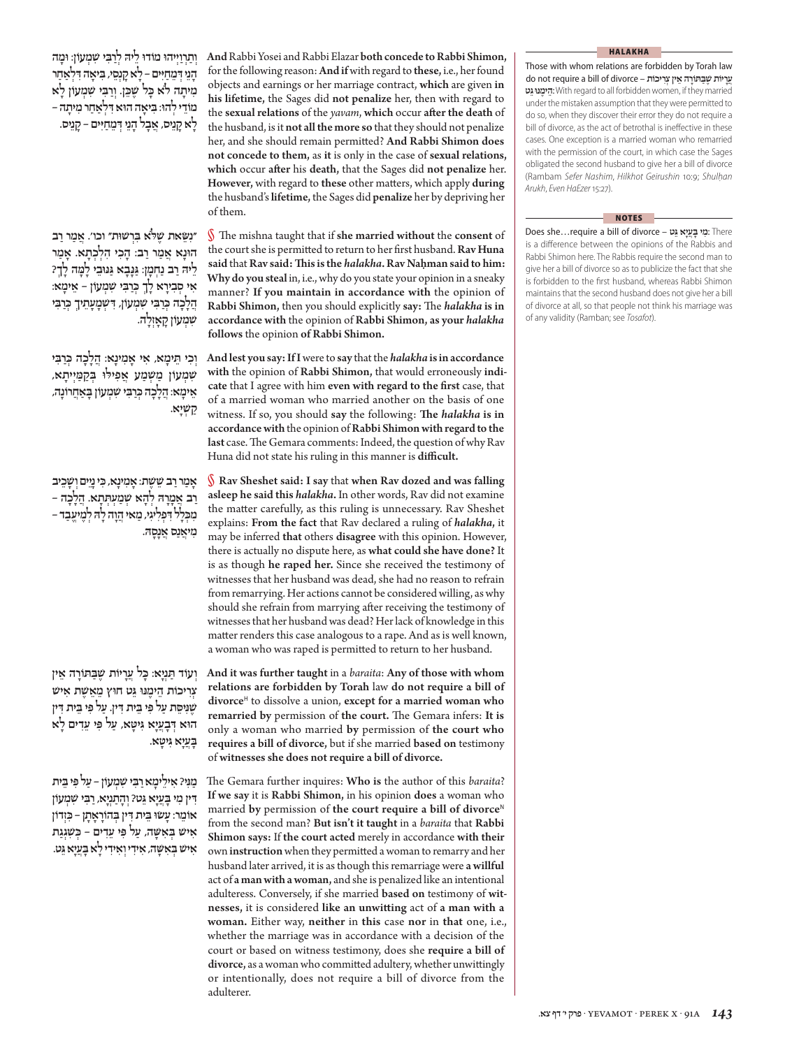**ְוַתְרַוְי ּ יהו ּ מוֹדו ֵל ּיה ְלַרִּבי ׁ ִשְמעוֹן: ּוָמה ָהֵני ְ ּדֵמַחִיּים – ָלאָקְנֵסי, ִּב ָיאה ִ ּד ְלַאַחר ּכן. ְוַרִּבי ׁ ִש ְמעוֹן ָלא ּכל ֶׁשֵ ִמ ָיתה לֹא ָ ֵמוֹדי ְל ּהו: ִּב ָיאה ּהוא ִ ּד ְלַאַחר ִמ ָיתה – ָלא ָקֵניס, ֲאָבל ָהֵני ְ ּדֵמַחִיּים – ָקֵניס.**

**ִ״נֵּׂשאת ֶׁשּלֹא ִּבְרׁשּות״ וכו׳. ֲאַמרַרב ּהוָנא ֲאַמרַרב: ָה ִכי ִה ְל ְכָתא. ָאַמר ֵל ּיה ַרב ַנ ְחָמן: ַּגָּנָבא ַּגּנּוֵבי ָל ָּמה ָל ְך? ּכַרִּבי ׁ ִשְמעוֹן – ֵא ָימא: ִאי ְס ִבָירא ָל ְך ְ ּכַרִּבי ּכַרִּבי ׁ ִשְמעוֹן, ִ ּד ׁ ְשָמָעֵת ְיך ְ ֲהָלָכה ְ ׁ ִשְמעוֹן ָקָאְזָלה.**

**ּכַרִּבי ְו ִכי ֵּת ָימא, ִאי ָא ִמ ָינא: ֲהָלָכה ְ ׁ ִש ְמעוֹן ַמ ׁ ְשַמע ֲא ִפ ּיל ּו ְּבַק ַּמְי ָיתא, ּכַרִּבי ׁ ִשְמעוֹן ָּבַאֲח ָרוֹנה, ֵא ָימא: ֲהָלָכה ְ ַקׁ ְשָיא.**

**ּכיָנֵיים ְו ָׁשֵכיב ָאַמרַרב ֵׁשֶׁשת: ָא ִמ ָינא, ִ ַרב ֲאָמָרּה ְלָהא ׁ ְשַמ ְע ְּתָתא. ֲהָלָכה – ּכָלל ִ ּד ְפ ִל ִיגי, ַמאיֲהָוה ָל ּה ְלֶמ ֱיעַבד – ִמ ְ ִמ ֲיאַנס ֲאָנָס ּה.**

**ּכל ֲעָריוֹת ֶׁשַּב ּתָוֹרה ֵאין ְועוֹד ַּתְנָיא: ָ ְצִריכוֹת ֵה ֶימּנּו ֵּגט ּחוץ ֵמֵאֶׁשת ִא ׁיש ּנ ֵּיסת ַעל ִּפי ֵּבית ִ ּדין. ַעל ִּפי ֵּבית ִ ּדין ֶׁשִ ּהוא ְ ּדָבֲעָיא ִּג ָּיטא, ַעל ִּפי ֵעִדים ָלא ָּבֲעָיא ִּג ָּיטא.**

**ּני? ִא ֵיל ָימאַרִּבי ׁ ִשְמעוֹן – ַעל ִּפי ֵּבית ַמִ ִ ּדין ִמי ָּבֲעָיאֵּגט? ְוָהַתְנָיא, ַרִּבי ׁ ִשְמעוֹן ּכְזדוֹן ֵאוֹמר: ָע ׂשּו ֵּבית ִ ּדין ְּב ָהוֹרָאָתן – ִ ּכׁ ִשְגַגת ִא ׁיש ְּב ִאָּׁשה, ַעל ִּפי ֵעִדים – ְ ִא ׁיש ְּב ִאָּׁשה, ִא ִידי ְו ִא ִידי ָלא ָּבֲעָיאֵּגט.** **And** Rabbi Yosei and Rabbi Elazar **both concede to Rabbi Shimon,**  for the following reason: **And if** with regard to **these,** i.e., her found objects and earnings or her marriage contract, **which** are given **in his lifetime,** the Sages did **not penalize** her, then with regard to the **sexual relations** of the *yavam*, **which** occur **aft er the death** of the husband, is it **not all the more so** that they should not penalize her, and she should remain permitted? And Rabbi Shimon does **not concede to them,** as **it** is only in the case of **sexual relations, which** occur **aft er** his **death,** that the Sages did **not penalize** her. However, with regard to these other matters, which apply during the husband's **lifetime,** the Sages did **penalize** her by depriving her of them.

§ Th e mishna taught that if **she married without** the **consent** of the court she is permitted to return to her first husband. Rav Huna **said** that**Rav said: Th is is the** *halakha***. Rav Naĥman said to him: Why do you steal** in, i.e., why do you state your opinion in a sneaky manner? **If you maintain in accordance with** the opinion of Rabbi Shimon, then you should explicitly say: The *halakha* is in **accordance with** the opinion of **Rabbi Shimon, as your** *halakha* **follows** the opinion **of Rabbi Shimon.**

**And lest you say: If I** were to **say** that the *halakha* **is in accordance with** the opinion of **Rabbi Shimon,** that would erroneously **indicate** that I agree with him **even with regard to the fi rst** case, that of a married woman who married another on the basis of one witness. If so, you should **say** the following: **Th e** *halakha* **is in accordance with** the opinion of**Rabbi Shimon with regard to the**  last case. The Gemara comments: Indeed, the question of why Rav Huna did not state his ruling in this manner is difficult.

§ **Rav Sheshet said: I say** that **when Rav dozed and was falling asleep he said this** *halakha***.** In other words, Rav did not examine the matter carefully, as this ruling is unnecessary. Rav Sheshet explains: **From the fact** that Rav declared a ruling of *halakha***,** it may be inferred **that** others **disagree** with this opinion. However, there is actually no dispute here, as **what could she have done?** It is as though **he raped her.** Since she received the testimony of witnesses that her husband was dead, she had no reason to refrain from remarrying. Her actions cannot be considered willing, as why should she refrain from marrying after receiving the testimony of witnesses that her husband was dead? Her lack of knowledge in this matter renders this case analogous to a rape. And as is well known, a woman who was raped is permitted to return to her husband.

**And it was further taught** in a *baraita*: **Any of those with whom relations are forbidden by Torah** law **do not require a bill of**  divorce<sup>H</sup> to dissolve a union, except for a married woman who remarried by permission of the court. The Gemara infers: It is only a woman who married **by** permission of **the court who requires a bill of divorce,** but if she married **based on** testimony of **witnesses she does not require a bill of divorce.**

The Gemara further inquires: Who is the author of this *baraita*? **If we say** it is **Rabbi Shimon,** in his opinion **does** a woman who married by permission of the court require a bill of divorce<sup>N</sup> from the second man? **But isn't it taught** in a *baraita* that **Rabbi Shimon says:** If **the court acted** merely in accordance **with their**  own **instruction** when they permitted a woman to remarry and her husband later arrived, it is as though this remarriage were **a willful**  act of **a man with a woman,** and she is penalized like an intentional adulteress. Conversely, if she married **based on** testimony of **witnesses,** it is considered **like an unwitt ing** act of **a man with a woman.** Either way, **neither** in **this** case **nor** in **that** one, i.e., whether the marriage was in accordance with a decision of the court or based on witness testimony, does she **require a bill of**  divorce, as a woman who committed adultery, whether unwittingly or intentionally, does not require a bill of divorce from the adulterer.

#### **HALAKHA**

 Those with whom relations are forbidden by Torah law **ֲעָריוֹת ֶׁשַּב ּתָוֹרה ֵאין ְצִריכוֹת** – divorce of bill a require not do **גטֵּוּנּימֶ הֵ**: With regard to all forbidden women, if they married under the mistaken assumption that they were permitted to do so, when they discover their error they do not require a bill of divorce, as the act of betrothal is ineffective in these cases. One exception is a married woman who remarried with the permission of the court, in which case the Sages obligated the second husband to give her a bill of divorce (Rambam *Sefer Nashim*, *Hilkhot Geirushin* 10:9; *Shulĥan Arukh*, *Even HaEzer* 15:27).

 Does she…require a bill of divorce – **גטֵּ יאָעֲבָּ מיִ** : There is a difference between the opinions of the Rabbis and Rabbi Shimon here. The Rabbis require the second man to give her a bill of divorce so as to publicize the fact that she is forbidden to the first husband, whereas Rabbi Shimon maintains that the second husband does not give her a bill of divorce at all, so that people not think his marriage was of any validity (Ramban; see *Tosafot*).

**NOTES**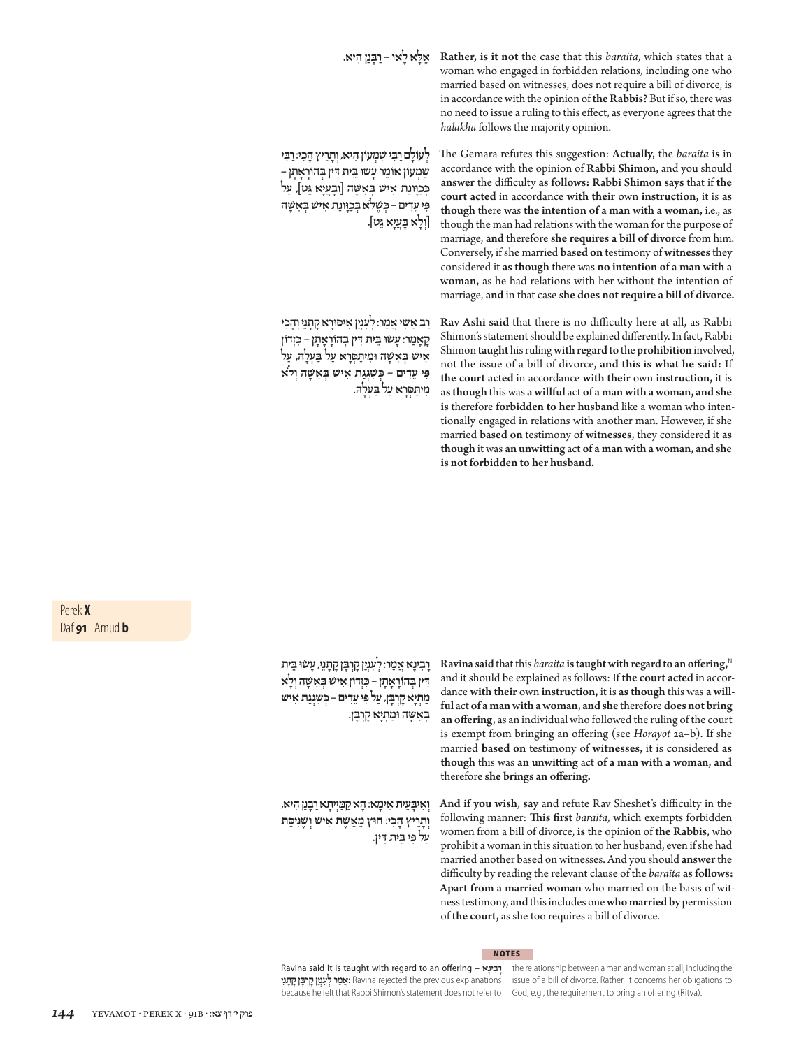| אֵלַא לַאו - רַבָּנַן הִיא.                                                                                                                                                                                                                          | <b>Rather, is it not the case that this <i>baraita</i></b> , which states that a<br>woman who engaged in forbidden relations, including one who<br>married based on witnesses, does not require a bill of divorce, is<br>in accordance with the opinion of the Rabbis? But if so, there was<br>no need to issue a ruling to this effect, as everyone agrees that the<br><i>halakha</i> follows the majority opinion.                                                                                                                                                                                                                                                                                                                                          |
|------------------------------------------------------------------------------------------------------------------------------------------------------------------------------------------------------------------------------------------------------|---------------------------------------------------------------------------------------------------------------------------------------------------------------------------------------------------------------------------------------------------------------------------------------------------------------------------------------------------------------------------------------------------------------------------------------------------------------------------------------------------------------------------------------------------------------------------------------------------------------------------------------------------------------------------------------------------------------------------------------------------------------|
| לְעוֹלַם רַבִּי שִׁמְעוֹן הִיא, וְתַרֵיץ הָכִי: רַבִּי<br>"שְׁמְעוֹן אוֹמֵר עֲשׁוּ בֵּית דְּין בְּהוֹרָאֲתָן<br>כְּכַוְוּנַת אִישׁ בְּאִשָּׁה [וּבָעֲיָא גֵּט], עַל<br>פִּי עֵדִים – כִּשָּׁלֹּא בִּכְוּוַת אִישׁ בְּאִשָּׁה<br>[ולא בעיא גט].       | The Gemara refutes this suggestion: Actually, the <i>baraita</i> is in<br>accordance with the opinion of Rabbi Shimon, and you should<br>answer the difficulty as follows: Rabbi Shimon says that if the<br>court acted in accordance with their own instruction, it is as<br>though there was the intention of a man with a woman, i.e., as<br>though the man had relations with the woman for the purpose of<br>marriage, and therefore she requires a bill of divorce from him.<br>Conversely, if she married based on testimony of witnesses they<br>considered it as though there was no intention of a man with a<br>woman, as he had relations with her without the intention of<br>marriage, and in that case she does not require a bill of divorce. |
| רַב אַשִׁי אֲמַר: לְעִנְיַן אִיסּוּרַא קַתַּנֵי וְהַכִי<br>קָאָמַר: עָשׁוּ בִּית דִּין בְּהוֹרָאָתָן – כִּוְדוֹן<br>אִישׁ בְּאִשָּׁה וּמִיתַּפְרָא עַל בַּעְלָהּ, עַל<br>פִּי עֵדִים – כִּשְׁגְנַת אִישׁ בְּאִשָּׁה וְלֹא<br>מִיתַּסְרֵא עַל בַּעלה. | Rav Ashi said that there is no difficulty here at all, as Rabbi<br>Shimon's statement should be explained differently. In fact, Rabbi<br>Shimon taught his ruling with regard to the prohibition involved,<br>not the issue of a bill of divorce, and this is what he said: If<br>the court acted in accordance with their own instruction, it is<br>as though this was a willful act of a man with a woman, and she<br>is therefore forbidden to her husband like a woman who inten-<br>tionally engaged in relations with another man. However, if she<br>married based on testimony of witnesses, they considered it as<br>though it was an unwitting act of a man with a woman, and she                                                                   |

**is not forbidden to her husband.** 

| Perek X |                             |
|---------|-----------------------------|
|         | Daf <b>91</b> Amud <b>b</b> |

| רָבִינָא אֲמַר: לְעִנְיַן קָרְבָּן קָתָנֵי, עָשׂוּ בֵּית<br>דִּין בְּהוֹרָאָתָן – כִּזְדוֹן אִישׁ בְּאִשָּׁה וְלָא<br>מַתְיָא קָרְבָּן, עַל פִּי עֵדִים – כִּשְׁגְגַת אִיש<br>בְּאִשָּׁה וּמַתְיָא קָרִבָּן. | Ravina said that this <i>baraita</i> is taught with regard to an offering, $N$<br>and it should be explained as follows: If the court acted in accor-<br>dance with their own instruction, it is as though this was a will-<br>ful act of a man with a woman, and she therefore does not bring<br>an offering, as an individual who followed the ruling of the court<br>is exempt from bringing an offering (see Horayot 2a-b). If she<br>married based on testimony of witnesses, it is considered as<br>though this was an unwitting act of a man with a woman, and<br>therefore she brings an offering.   |  |
|--------------------------------------------------------------------------------------------------------------------------------------------------------------------------------------------------------------|--------------------------------------------------------------------------------------------------------------------------------------------------------------------------------------------------------------------------------------------------------------------------------------------------------------------------------------------------------------------------------------------------------------------------------------------------------------------------------------------------------------------------------------------------------------------------------------------------------------|--|
| וְאִיבָּעֵית אֵימָא: הָא קַמַּיְיתָא רַבְּנַן הִיא,<br>וְתָרֵיץ הָכִי: חוּץ מֵאֵשֶׁת אִישׁ וְשֶׁנִּיִפֵּת<br>על פּי בית דין.                                                                                 | And if you wish, say and refute Rav Sheshet's difficulty in the<br>following manner: This first baraita, which exempts forbidden<br>women from a bill of divorce, is the opinion of the Rabbis, who<br>prohibit a woman in this situation to her husband, even if she had<br>married another based on witnesses. And you should answer the<br>difficulty by reading the relevant clause of the baraita as follows:<br>Apart from a married woman who married on the basis of wit-<br>ness testimony, and this includes one who married by permission<br>of the court, as she too requires a bill of divorce. |  |

**NOTES**

 Ravina said it is taught with regard to an offering – **ינאָ בִרָ** explanations previous the rejected Ravina **ֲ**:**אַמר ְל ִעְנַין ָקְרָּבן ָקָתֵני** because he felt that Rabbi Shimon's statement does not refer to

the relationship between a man and woman at all, including the issue of a bill of divorce. Rather, it concerns her obligations to God, e.g., the requirement to bring an offering (Ritva).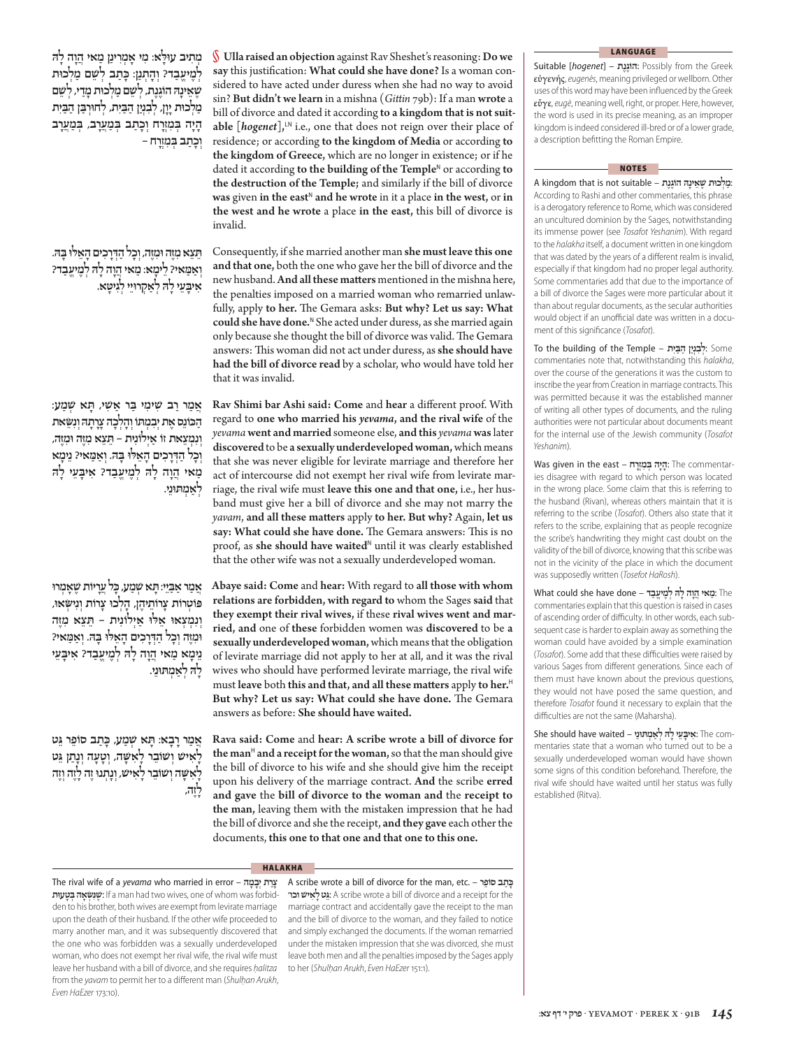**ּלא: ִמי ָא ְמִר ַינן ַמאי ֲהָוה ָל ּה ְמ ִתיב ּעוָ ּכַתב ְל ֵׁשם ַמ ְל ּכות ְלֶמ ֱיעַבד? ְוָה ְתַנן: ָ ֶׁשֵא ָינ ּה ֶהוֹגֶנת, ְל ֵׁשם ַמְל ּכות ָמַדי, ְל ֵׁשם ַמְל ּכותָיָון, ְל ִבְנַין ַהַּבִית, ְל ּחוְרַּבן ַהַּבִית ָהָיה ְּב ִמְזָרח ְוָכַתב ְּבַמֲעָרב, ְּבַמֲעָרב ְוָכַתב ְּב ִמְזָרח –**

**ֵּתֵצא ִמֶזּה ּו ִמֶזּה, ְוָכל ַהְ ּדָרִכים ָהֵא ּלּו ָּב ּה. ְוַא ַּמאי? ֵל ָימא: ַמאיֲהָוה ָל ּה ְלֶמ ֱיעַבד? ִא ָּיבֵעי ָל ּה ְלַא ְק ּרוֵיי ְלִג ָּיטא.**

**ֲאַמר ַרב ׁ ִש ִימי ַּבר ַאׁ ִשי, ָּתא ׁ ְשַמע: ַה ּכ ֵוֹנס ֶאת ְי ִב ְמ ּתוֹ ְוָהְלָכה ָצָרָת ּהְוִנֵּׂשאת ְוִנְמֵצאת זוֹ ַאְי ִלוֹנית – ֵּתֵצא ִמֶזּה ּו ִמֶזּה, ְוָכל ַהְ ּדָרִכים ָהֵא ּלּו ָּב ּה. ְוַא ַּמאי? ֵנ ָימא ַמאי ֲהָוה ָל ּה ְלֶמ ֱיעַבד? ִא ָּיבֵעי ָל ּה ְלַא ְמ ּתּוֵני.**

**ּכלֲעָריוֹת ֶׁשָא ְמ ּרו ֲאַמר ַאַּבֵיי: ָּתא ׁ ְשַמע, ָ ּפ ְוֹטרוֹת ָצ ֵרוֹת ֶיהן, ָה ְל ּכו ָצרוֹת ְוִנ ְּׂ יש ּאו, ְוִנ ְמ ְצ ּאו ֵא ּל ּו ַאְי ִלוֹנית – ֵּתֵצא ִמֶזּה ּו ִמֶזּה ְוָכל ַהְ ּדָרִכים ָהֵא ּלּו ָּב ּה. ְוַא ַּמאי? ֵנ ָימא ַמאי ֲהָוה ָל ּה ְלֶמ ֱיעַבד? ִא ָּיבֵעי ָל ּה ְלַא ְמ ּתּוֵני.**

**ּכַתב ֵסוֹפר ֵּגט ֲאַמרָרָבא: ָּתא ׁ ְשַמע, ָ ָל ִא ׁיש ְו ׁש ֵוֹבר ָל ִאָּׁשה, ְוָטָעה ְוָנַתן ֵּגט ָל ִאָּׁשה ְו ׁש ֵוֹברָל ִא ׁיש, ְוָנְת ּנוֶזה ָלֶזה ְוֶזה ָלֶזה,** § **Ulla raised an objection** against Rav Sheshet's reasoning: **Do we say** this justification: **What could she have done?** Is a woman considered to have acted under duress when she had no way to avoid sin? But didn't we learn in a mishna (*Gittin* 79b): If a man wrote a bill of divorce and dated it according **to a kingdom that is not suit**able [hogenet],<sup>IN</sup> i.e., one that does not reign over their place of residence; or according **to the kingdom of Media** or according **to the kingdom of Greece,** which are no longer in existence; or if he dated it according to the building of the Temple<sup>N</sup> or according to **the destruction of the Temple;** and similarly if the bill of divorce **was given in the east<sup>N</sup> and he wrote in it a place in the west, or in the west and he wrote** a place **in the east,** this bill of divorce is invalid.

Consequently, if she married another man **she must leave this one and that one,** both the one who gave her the bill of divorce and the new husband. And all these matters mentioned in the mishna here, the penalties imposed on a married woman who remarried unlawfully, apply to her. The Gemara asks: But why? Let us say: What could she have done.<sup>N</sup> She acted under duress, as she married again only because she thought the bill of divorce was valid. The Gemara answers: This woman did not act under duress, as she should have **had the bill of divorce read** by a scholar, who would have told her that it was invalid.

Rav Shimi bar Ashi said: Come and hear a different proof. With regard to **one who married his** *yevama***, and the rival wife** of the *yevama* **went and married** someone else, **and this** *yevama* **was** later **discovered** to be **a sexually underdeveloped woman,** which means that she was never eligible for levirate marriage and therefore her act of intercourse did not exempt her rival wife from levirate marriage, the rival wife must **leave this one and that one,** i.e., her husband must give her a bill of divorce and she may not marry the *yavam*, **and all these matt ers** apply **to her. But why?** Again, **let us**  say: What could she have done. The Gemara answers: This is no proof, as she should have waited<sup>N</sup> until it was clearly established that the other wife was not a sexually underdeveloped woman.

**Abaye said: Come** and **hear:** With regard to **all those with whom relations are forbidden, with regard to** whom the Sages **said** that **they exempt their rival wives,** if these **rival wives went and married, and** one of **these** forbidden women was **discovered** to be **a sexually underdeveloped woman,** which means that the obligation of levirate marriage did not apply to her at all, and it was the rival wives who should have performed levirate marriage, the rival wife must leave both this and that, and all these matters apply to her.<sup>H</sup> But why? Let us say: What could she have done. The Gemara answers as before: **She should have waited.**

**Rava said: Come** and **hear: A scribe wrote a bill of divorce for**  the man<sup>H</sup> and a receipt for the woman, so that the man should give the bill of divorce to his wife and she should give him the receipt upon his delivery of the marriage contract. **And** the scribe **erred and gave** the **bill of divorce to the woman and** the **receipt to the man,** leaving them with the mistaken impression that he had the bill of divorce and she the receipt, **and they gave** each other the documents, **this one to that one and that one to this one.**

**HALAKHA**

 The rival wife of a *yevama* who married in error – **מהָבָיְ רתַצָ ְשֵׁנְּשְׂאֶה בְּטֵעוּת:** If a man had two wives, one of whom was forbidden to his brother, both wives are exempt from levirate marriage upon the death of their husband. If the other wife proceeded to marry another man, and it was subsequently discovered that the one who was forbidden was a sexually underdeveloped woman, who does not exempt her rival wife, the rival wife must leave her husband with a bill of divorce, and she requires *ĥalitza* from the *yavam* to permit her to a different man (*Shulĥan Arukh*, *Even HaEzer* 173:10).

 A scribe wrote a bill of divorce for the man, etc. – **סוֹפרֵ תבַכָּ וכו׳ ישׁ אִ לָ גטֵּ**: A scribe wrote a bill of divorce and a receipt for the marriage contract and accidentally gave the receipt to the man and the bill of divorce to the woman, and they failed to notice and simply exchanged the documents. If the woman remarried under the mistaken impression that she was divorced, she must leave both men and all the penalties imposed by the Sages apply to her (*Shulĥan Arukh*, *Even HaEzer* 151:1).

## **LANGUAGE**

 Suitable [*hogenet*] – **נתֶהוֹגֶ** : Possibly from the Greek εὐγενής, *eugenès*, meaning privileged or wellborn. Other uses of this word may have been influenced by the Greek εὖγε, *eugè*, meaning well, right, or proper. Here, however, the word is used in its precise meaning, as an improper kingdom is indeed considered ill-bred or of a lower grade, a description befitting the Roman Empire.

#### **NOTES**

**ַ**:**מְל ּכות ֶׁשֵא ָינ ּה ֶהוֹגֶנת** – suitable not is that kingdom A According to Rashi and other commentaries, this phrase is a derogatory reference to Rome, which was considered an uncultured dominion by the Sages, notwithstanding its immense power (see *Tosafot Yeshanim*). With regard to the *halakha* itself, a document written in one kingdom that was dated by the years of a different realm is invalid, especially if that kingdom had no proper legal authority. Some commentaries add that due to the importance of a bill of divorce the Sages were more particular about it than about regular documents, as the secular authorities would object if an unofficial date was written in a document of this significance (*Tosafot*).

 Some : **ְל ִבְנַין ַהַּבִית** – Temple the of building the To commentaries note that, notwithstanding this *halakha*, over the course of the generations it was the custom to inscribe the year from Creation in marriage contracts. This was permitted because it was the established manner of writing all other types of documents, and the ruling authorities were not particular about documents meant for the internal use of the Jewish community (*Tosafot Yeshanim*).

 Was given in the east – **רחָזְמִ בְּ יהָהָ**: The commentaries disagree with regard to which person was located in the wrong place. Some claim that this is referring to the husband (Rivan), whereas others maintain that it is referring to the scribe (*Tosafot*). Others also state that it refers to the scribe, explaining that as people recognize the scribe's handwriting they might cast doubt on the validity of the bill of divorce, knowing that this scribe was not in the vicinity of the place in which the document was supposedly written (*Tosefot HaRosh*).

 The **ַ**:**מאי ֲהָוה ָל ּה ְלֶמ ֱיעַבד** – done have she could What commentaries explain that this question is raised in cases of ascending order of difficulty. In other words, each subsequent case is harder to explain away as something the woman could have avoided by a simple examination (*Tosafot*). Some add that these difficulties were raised by various Sages from different generations. Since each of them must have known about the previous questions, they would not have posed the same question, and therefore *Tosafot* found it necessary to explain that the difficulties are not the same (Maharsha).

 She should have waited – **ניֵוּתּ מְ אַלְ הּ לָ עיֵיבָּ אִ** : The commentaries state that a woman who turned out to be a sexually underdeveloped woman would have shown some signs of this condition beforehand. Therefore, the rival wife should have waited until her status was fully established (Ritva).